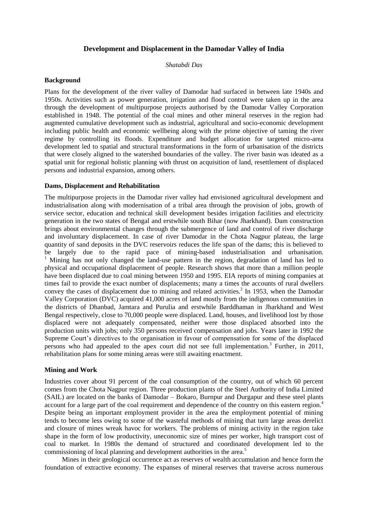# **Development and Displacement in the Damodar Valley of India**

*Shatabdi Das*

### **Background**

Plans for the development of the river valley of Damodar had surfaced in between late 1940s and 1950s. Activities such as power generation, irrigation and flood control were taken up in the area through the development of multipurpose projects authorised by the Damodar Valley Corporation established in 1948. The potential of the coal mines and other mineral reserves in the region had augmented cumulative development such as industrial, agricultural and socio-economic development including public health and economic wellbeing along with the prime objective of taming the river regime by controlling its floods. Expenditure and budget allocation for targeted micro-area development led to spatial and structural transformations in the form of urbanisation of the districts that were closely aligned to the watershed boundaries of the valley. The river basin was ideated as a spatial unit for regional holistic planning with thrust on acquisition of land, resettlement of displaced persons and industrial expansion, among others.

# **Dams, Displacement and Rehabilitation**

The multipurpose projects in the Damodar river valley had envisioned agricultural development and industrialisation along with modernisation of a tribal area through the provision of jobs, growth of service sector, education and technical skill development besides irrigation facilities and electricity generation in the two states of Bengal and erstwhile south Bihar (now Jharkhand). Dam construction brings about environmental changes through the submergence of land and control of river discharge and involuntary displacement. In case of river Damodar in the Chota Nagpur plateau, the large quantity of sand deposits in the DVC reservoirs reduces the life span of the dams; this is believed to be largely due to the rapid pace of mining-based industrialisation and urbanisation.  $1$  Mining has not only changed the land-use pattern in the region, degradation of land has led to physical and occupational displacement of people. Research shows that more than a million people have been displaced due to coal mining between 1950 and 1995. EIA reports of mining companies at times fail to provide the exact number of displacements; many a times the accounts of rural dwellers convey the cases of displacement due to mining and related activities.<sup>2</sup> In 1953, when the Damodar Valley Corporation (DVC) acquired 41,000 acres of land mostly from the indigenous communities in the districts of Dhanbad, Jamtara and Purulia and erstwhile Barddhaman in Jharkhand and West Bengal respectively, close to 70,000 people were displaced. Land, houses, and livelihood lost by those displaced were not adequately compensated, neither were those displaced absorbed into the production units with jobs; only 350 persons received compensation and jobs. Years later in 1992 the Supreme Court's directives to the organisation in favour of compensation for some of the displaced persons who had appealed to the apex court did not see full implementation.<sup>3</sup> Further, in 2011, rehabilitation plans for some mining areas were still awaiting enactment.

#### **Mining and Work**

Industries cover about 91 percent of the coal consumption of the country, out of which 60 percent comes from the Chota Nagpur region. Three production plants of the Steel Authority of India Limited (SAIL) are located on the banks of Damodar – Bokaro, Burnpur and Durgapur and these steel plants account for a large part of the coal requirement and dependence of the country on this eastern region.<sup>4</sup> Despite being an important employment provider in the area the employment potential of mining tends to become less owing to some of the wasteful methods of mining that turn large areas derelict and closure of mines wreak havoc for workers. The problems of mining activity in the region take shape in the form of low productivity, uneconomic size of mines per worker, high transport cost of coal to market. In 1980s the demand of structured and coordinated development led to the commissioning of local planning and development authorities in the area.<sup>5</sup>

Mines in their geological occurrence act as reserves of wealth accumulation and hence form the foundation of extractive economy. The expanses of mineral reserves that traverse across numerous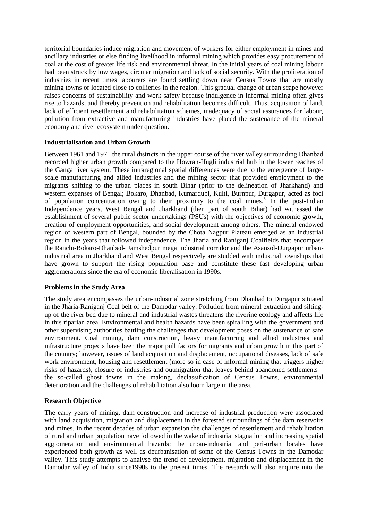territorial boundaries induce migration and movement of workers for either employment in mines and ancillary industries or else finding livelihood in informal mining which provides easy procurement of coal at the cost of greater life risk and environmental threat. In the initial years of coal mining labour had been struck by low wages, circular migration and lack of social security. With the proliferation of industries in recent times labourers are found settling down near Census Towns that are mostly mining towns or located close to collieries in the region. This gradual change of urban scape however raises concerns of sustainability and work safety because indulgence in informal mining often gives rise to hazards, and thereby prevention and rehabilitation becomes difficult. Thus, acquisition of land, lack of efficient resettlement and rehabilitation schemes, inadequacy of social assurances for labour, pollution from extractive and manufacturing industries have placed the sustenance of the mineral economy and river ecosystem under question.

# **Industrialisation and Urban Growth**

Between 1961 and 1971 the rural districts in the upper course of the river valley surrounding Dhanbad recorded higher urban growth compared to the Howrah-Hugli industrial hub in the lower reaches of the Ganga river system. These intraregional spatial differences were due to the emergence of largescale manufacturing and allied industries and the mining sector that provided employment to the migrants shifting to the urban places in south Bihar (prior to the delineation of Jharkhand) and western expanses of Bengal; Bokaro, Dhanbad, Kumardubi, Kulti, Burnpur, Durgapur, acted as foci of population concentration owing to their proximity to the coal mines.<sup>6</sup> In the post-Indian Independence years, West Bengal and Jharkhand (then part of south Bihar) had witnessed the establishment of several public sector undertakings (PSUs) with the objectives of economic growth, creation of employment opportunities, and social development among others. The mineral endowed region of western part of Bengal, bounded by the Chota Nagpur Plateau emerged as an industrial region in the years that followed independence. The Jharia and Raniganj Coalfields that encompass the Ranchi-Bokaro-Dhanbad- Jamshedpur mega industrial corridor and the Asansol-Durgapur urbanindustrial area in Jharkhand and West Bengal respectively are studded with industrial townships that have grown to support the rising population base and constitute these fast developing urban agglomerations since the era of economic liberalisation in 1990s.

# **Problems in the Study Area**

The study area encompasses the urban-industrial zone stretching from Dhanbad to Durgapur situated in the Jharia-Raniganj Coal belt of the Damodar valley. Pollution from mineral extraction and siltingup of the river bed due to mineral and industrial wastes threatens the riverine ecology and affects life in this riparian area. Environmental and health hazards have been spiralling with the government and other supervising authorities battling the challenges that development poses on the sustenance of safe environment. Coal mining, dam construction, heavy manufacturing and allied industries and infrastructure projects have been the major pull factors for migrants and urban growth in this part of the country; however, issues of land acquisition and displacement, occupational diseases, lack of safe work environment, housing and resettlement (more so in case of informal mining that triggers higher risks of hazards), closure of industries and outmigration that leaves behind abandoned settlements – the so-called ghost towns in the making, declassification of Census Towns, environmental deterioration and the challenges of rehabilitation also loom large in the area.

# **Research Objective**

The early years of mining, dam construction and increase of industrial production were associated with land acquisition, migration and displacement in the forested surroundings of the dam reservoirs and mines. In the recent decades of urban expansion the challenges of resettlement and rehabilitation of rural and urban population have followed in the wake of industrial stagnation and increasing spatial agglomeration and environmental hazards; the urban-industrial and peri-urban locales have experienced both growth as well as deurbanisation of some of the Census Towns in the Damodar valley. This study attempts to analyse the trend of development, migration and displacement in the Damodar valley of India since1990s to the present times. The research will also enquire into the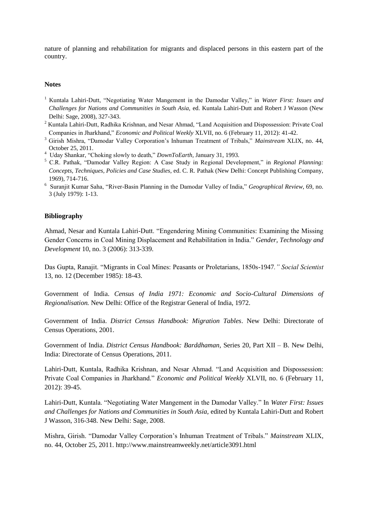nature of planning and rehabilitation for migrants and displaced persons in this eastern part of the country.

### **Notes**

- <sup>1</sup> Kuntala Lahiri-Dutt, "Negotiating Water Mangement in the Damodar Valley," in *Water First: Issues and Challenges for Nations and Communities in South Asia,* ed. Kuntala Lahiri-Dutt and Robert J Wasson (New Delhi: Sage, 2008), 327-343.
- <sup>2</sup> Kuntala Lahiri-Dutt, Radhika Krishnan, and Nesar Ahmad, "Land Acquisition and Dispossession: Private Coal Companies in Jharkhand," *Economic and Political Weekly* XLVII, no. 6 (February 11, 2012): 41-42.
- <sup>3</sup> Girish Mishra, "Damodar Valley Corporation's Inhuman Treatment of Tribals," *Mainstream* XLIX, no. 44, October 25, 2011.
- 4 Uday Shankar, "Choking slowly to death," *DownToEarth,* January 31, 1993.
- <sup>5</sup> C.R. Pathak, "Damodar Valley Region: A Case Study in Regional Development," in *Regional Planning: Concepts, Techniques, Policies and Case Studies,* ed. C. R. Pathak (New Delhi: Concept Publishing Company, 1969), 714-716.
- 6 Suranjit Kumar Saha, "River-Basin Planning in the Damodar Valley of India," *Geographical Review*, 69, no. 3 (July 1979): 1-13.

#### **Bibliography**

Ahmad, Nesar and Kuntala Lahiri-Dutt. "Engendering Mining Communities: Examining the Missing Gender Concerns in Coal Mining Displacement and Rehabilitation in India." *Gender, Technology and Development* 10, no. 3 (2006): 313-339.

Das Gupta, Ranajit. "Migrants in Coal Mines: Peasants or Proletarians, 1850s-1947*." Social Scientist* 13, no. 12 (December 1985): 18-43.

Government of India. *Census of India 1971: Economic and Socio-Cultural Dimensions of Regionalisation.* New Delhi: Office of the Registrar General of India, 1972.

Government of India. *District Census Handbook: Migration Tables*. New Delhi: Directorate of Census Operations, 2001.

Government of India. *District Census Handbook: Barddhaman*, Series 20, Part XII – B. New Delhi, India: Directorate of Census Operations, 2011.

Lahiri-Dutt, Kuntala, Radhika Krishnan, and Nesar Ahmad. "Land Acquisition and Dispossession: Private Coal Companies in Jharkhand." *Economic and Political Weekly* XLVII, no. 6 (February 11, 2012): 39-45.

Lahiri-Dutt, Kuntala. "Negotiating Water Mangement in the Damodar Valley." In *Water First: Issues and Challenges for Nations and Communities in South Asia,* edited by Kuntala Lahiri-Dutt and Robert J Wasson, 316-348. New Delhi: Sage, 2008.

Mishra, Girish. "Damodar Valley Corporation's Inhuman Treatment of Tribals." *Mainstream* XLIX, no. 44, October 25, 2011.<http://www.mainstreamweekly.net/article3091.html>